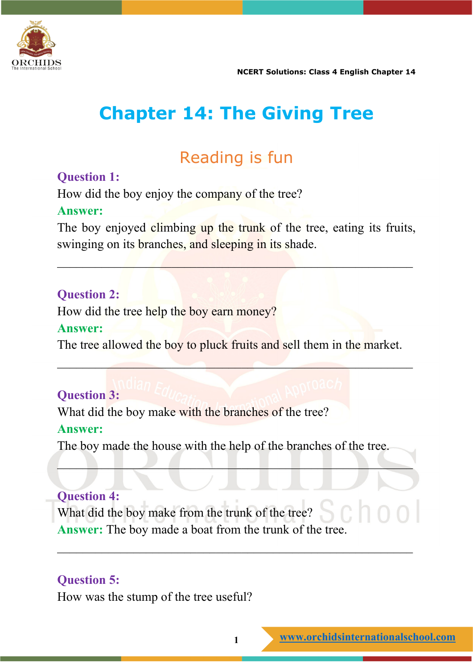

# **Chapter 14: The Giving Tree**

## Reading is fun

#### **Question 1:**

How did the boy enjoy the company of the tree? **Answer:**

The boy enjoyed climbing up the trunk of the tree, eating its fruits, swinging on its branches, and sleeping in its shade.

 $\mathcal{L}_\mathcal{A} = \mathcal{L}_\mathcal{A} = \mathcal{L}_\mathcal{A} = \mathcal{L}_\mathcal{A} = \mathcal{L}_\mathcal{A}$ 

#### **Question 2:**

How did the tree help the boy earn money? **Answer:**

The tree allowed the boy to pluck fruits and sell them in the market.

 $\mathcal{L}=\mathcal{L}=\mathcal{L}=\mathcal{L}=\mathcal{L}=\mathcal{L}=\mathcal{L}=\mathcal{L}=\mathcal{L}=\mathcal{L}=\mathcal{L}=\mathcal{L}=\mathcal{L}=\mathcal{L}=\mathcal{L}=\mathcal{L}=\mathcal{L}=\mathcal{L}=\mathcal{L}=\mathcal{L}=\mathcal{L}=\mathcal{L}=\mathcal{L}=\mathcal{L}=\mathcal{L}=\mathcal{L}=\mathcal{L}=\mathcal{L}=\mathcal{L}=\mathcal{L}=\mathcal{L}=\mathcal{L}=\mathcal{L}=\mathcal{L}=\mathcal{L}=\mathcal{L}=\mathcal{$ 

#### **Question 3:**

What did the boy make with the branches of the tree? **Answer:**

The boy made the house with the help of the branches of the tree.

 $\Box$ 

 $\overline{\phantom{a}}$  , and the contribution of the contribution of the contribution of the contribution of the contribution of the contribution of the contribution of the contribution of the contribution of the contribution of the

#### **Question 4:**

What did the boy make from the trunk of the tree? **Answer:** The boy made a boat from the trunk of the tree.

#### **Question 5:**

How was the stump of the tree useful?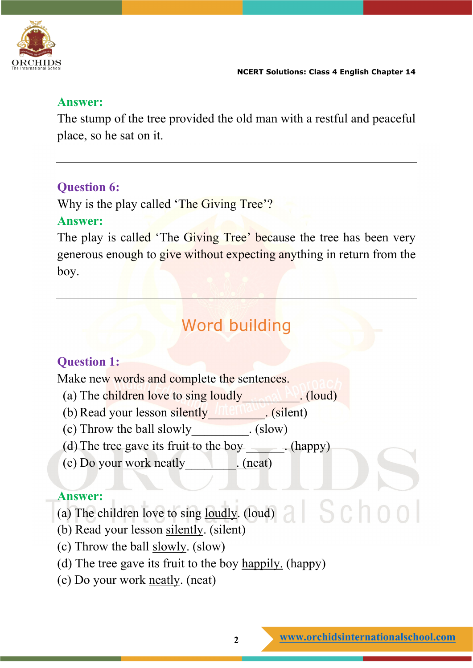

#### **Answer:**

The stump of the tree provided the old man with a restful and peaceful place, so he sat on it.

#### **Question 6:**

Why is the play called 'The Giving Tree'?

#### **Answer:**

The play is called 'The Giving Tree' because the tree has been very generous enough to give without expecting anything in return from the boy.

# Word building

#### **Question 1:**

Make new words and complete the sentences.

- (a) The children love to sing loudly\_\_\_\_\_\_\_\_\_\_\_\_\_\_\_\_\_\_\_. (loud)
- (b) Read your lesson silently\_\_\_\_\_\_\_\_\_. (silent)
- (c) Throw the ball slowly (slow)
- (d) The tree gave its fruit to the boy \_\_\_\_\_\_. (happy)
- (e) Do your work neatly\_\_\_\_\_\_\_\_. (neat)

#### **Answer:**

(а) The children love to sing loudly. (loud)

- (b) Read your lesson silently. (silent)
- (c) Throw the ball slowly. (slow)
- (d) The tree gave its fruit to the boy happily. (happy)
- (e) Do your work neatly. (neat)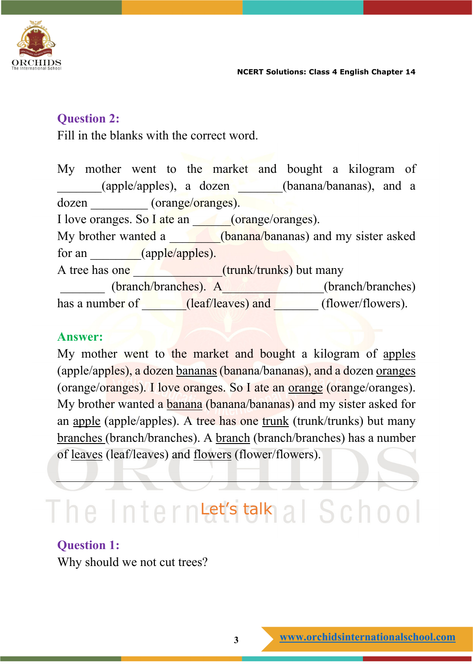

#### **Question 2:**

Fill in the blanks with the correct word.

My mother went to the market and bought a kilogram of \_\_\_\_\_\_\_(apple/apples), a dozen \_\_\_\_\_\_\_(banana/bananas), and a dozen \_\_\_\_\_\_\_\_\_ (orange/oranges). I love oranges. So I ate an  $(orange/orange).$ My brother wanted a **contract (banana/bananas)** and my sister asked for an **contract (apple/apples).** A tree has one \_\_\_\_\_\_\_\_\_\_\_\_\_\_\_\_\_\_\_\_\_(trunk/trunks) but many (branch/branches). A\_\_\_\_\_\_\_\_\_\_\_\_\_\_(branch/branches) has a number of \_\_\_\_\_\_\_(leaf/leaves) and \_\_\_\_\_\_\_(flower/flowers).

#### **Answer:**

My mother went to the market and bought a kilogram of apples (apple/apples), a dozen bananas (banana/bananas), and a dozen oranges (orange/oranges). I love oranges. So I ate an orange (orange/oranges). My brother wanted a banana (banana/bananas) and my sister asked for an apple (apple/apples). A tree has one trunk (trunk/trunks) but many branches (branch/branches). A branch (branch/branches) has a number of leaves (leaf/leaves) and flowers (flower/flowers).

# $\Gamma$ he Interntet's talk al School

#### **Question 1:**

Why should we not cut trees?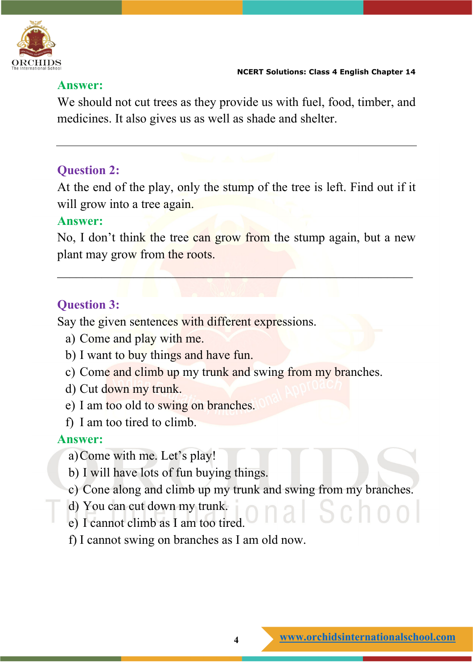

#### **Answer:**

We should not cut trees as they provide us with fuel, food, timber, and medicines. It also gives us as well as shade and shelter.

#### **Question 2:**

At the end of the play, only the stump of the tree is left. Find out if it will grow into a tree again.

#### **Answer:**

No, I don't think the tree can grow from the stump again, but a new plant may grow from the roots.

 $\mathcal{L}_\mathcal{A} = \mathcal{L}_\mathcal{A} = \mathcal{L}_\mathcal{A} = \mathcal{L}_\mathcal{A}$  , which is a set of  $\mathcal{L}_\mathcal{A}$  ,  $\mathcal{L}_\mathcal{A} = \mathcal{L}_\mathcal{A}$ 

#### **Question 3:**

Say the given sentences with different expressions.

- a) Come and play with me.
- b) I want to buy things and have fun.
- c) Come and climb up my trunk and swing from my branches.
- d) Cut down my trunk.
- e) I am too old to swing on branches.
- f) I am too tired to climb.

#### **Answer:**

- a)Come with me. Let's play!
- b) I will have lots of fun buying things.
- c) Cone along and climb up my trunk and swing from my branches.
- d) You can cut down my trunk.
- e) I cannot climb as I am too tired.
- f) I cannot swing on branches as I am old now.

 $5$ chool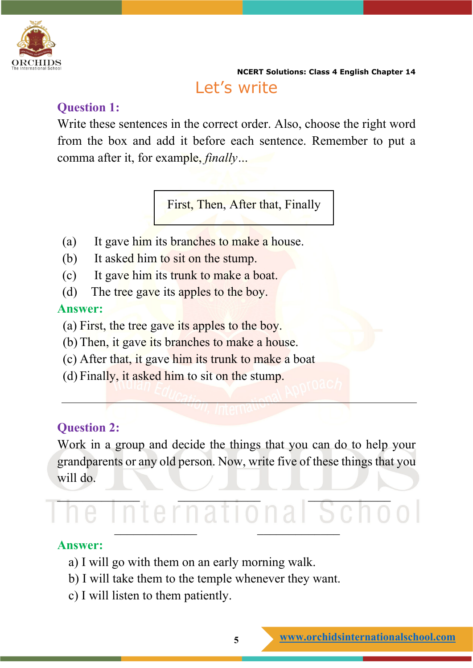

**NCERT Solutions: Class 4 English Chapter 14** Let's write

#### **Question 1:**

Write these sentences in the correct order. Also, choose the right word from the box and add it before each sentence. Remember to put a comma after it, for example, *finally…*

First, Then, After that, Finally

- (a) It gave him its branches to make a house.
- (b) It asked him to sit on the stump.
- (c) It gave him its trunk to make a boat.
- (d) The tree gave its apples to the boy.

#### **Answer:**

- (a) First, the tree gave its apples to the boy.
- (b) Then, it gave its branches to make a house.
- (c) After that, it gave him its trunk to make a boat
- (d) Finally, it asked him to sit on the stump.

#### **Question 2:**

Work in a group and decide the things that you can do to help your grandparents or any old person. Now, write five of these things that you will do.

# \_\_\_\_\_\_\_\_\_\_\_\_\_ \_\_\_\_\_\_\_\_\_\_\_\_\_ \_\_\_\_\_\_\_\_\_\_\_\_\_  $\overline{\phantom{a}}$

#### **Answer:**

- a) I will go with them on an early morning walk.
- b) I will take them to the temple whenever they want.
- c) I will listen to them patiently.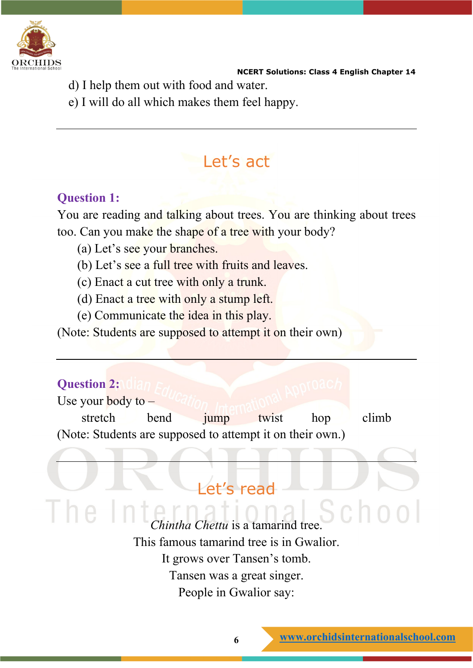

- d) I help them out with food and water.
- e) I will do all which makes them feel happy.

## Let's act

#### **Question 1:**

You are reading and talking about trees. You are thinking about trees too. Can you make the shape of a tree with your body?

- (a) Let's see your branches.
- (b) Let's see a full tree with fruits and leaves.
- (c) Enact a cut tree with only a trunk.
- (d) Enact a tree with only a stump left.
- (e) Communicate the idea in this play.

(Note: Students are supposed to attempt it on their own)

#### **Question 2:**

Use your **body** to  $$ stretch bend jump twist hop climb (Note: Students are supposed to attempt it on their own.)

### Let's read

*hintha Chettu* is a tamarind tree This famous tamarind tree is in Gwalior. It grows over Tansen's tomb. Tansen was a great singer. People in Gwalior say: